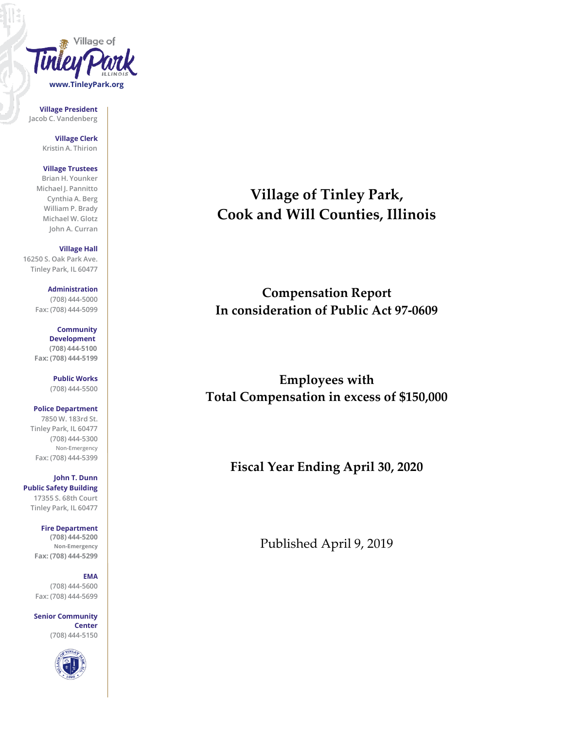

**Village President Jacob C. Vandenberg**

> **Village Clerk Kristin A. Thirion**

## **Village Trustees**

**Brian H. Younker Michael J. Pannitto Cynthia A. Berg William P. Brady Michael W. Glotz John A. Curran**

#### **Village Hall**

**16250 S. Oak Park Ave. Tinley Park, IL 60477**

#### **Administration (708) 444-5000 Fax: (708) 444-5099**

**Community Development (708) 444-5100 Fax: (708) 444-5199**

> **Public Works (708) 444-5500**

### **Police Department**

**7850 W. 183rd St. Tinley Park, IL 60477 (708) 444-5300 Non-Emergency Fax: (708) 444-5399**

**John T. Dunn Public Safety Building 17355 S. 68th Court Tinley Park, IL 60477**

> **Fire Department (708) 444-5200 Non-Emergency Fax: (708) 444-5299**

#### **EMA**

**(708) 444-5600 Fax: (708) 444-5699**

**Senior Community Center (708) 444-5150**



# **Village of Tinley Park, Cook and Will Counties, Illinois**

# **Compensation Report In consideration of Public Act 97-0609**

**Employees with Total Compensation in excess of \$150,000**

**Fiscal Year Ending April 30, 2020**

Published April 9, 2019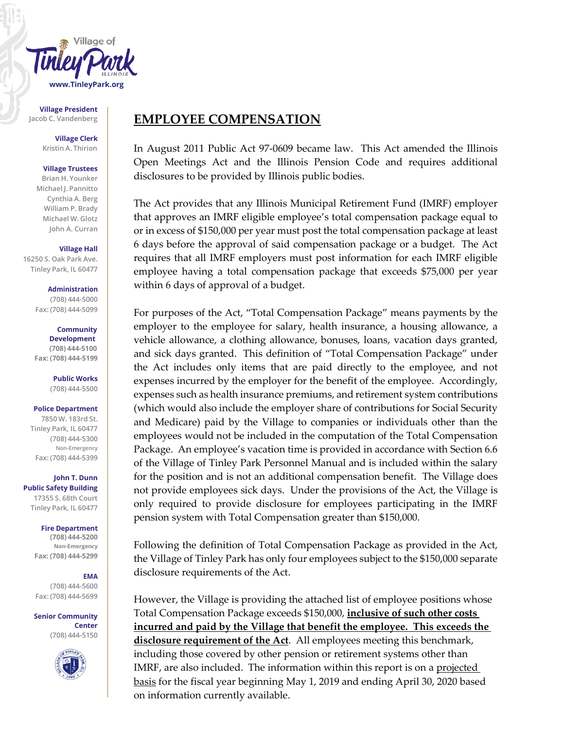

**Village President**

**Village Clerk Kristin A. Thirion**

#### **Village Trustees**

**Brian H. Younker Michael J. Pannitto Cynthia A. Berg William P. Brady Michael W. Glotz John A. Curran**

#### **Village Hall**

**16250 S. Oak Park Ave. Tinley Park, IL 60477**

> **Administration (708) 444-5000 Fax: (708) 444-5099**

**Community Development (708) 444-5100 Fax: (708) 444-5199**

> **Public Works (708) 444-5500**

#### **Police Department**

**7850 W. 183rd St. Tinley Park, IL 60477 (708) 444-5300 Non-Emergency Fax: (708) 444-5399**

**John T. Dunn Public Safety Building 17355 S. 68th Court Tinley Park, IL 60477**

> **Fire Department (708) 444-5200**

**Non-Emergency Fax: (708) 444-5299**

### **EMA**

**(708) 444-5600 Fax: (708) 444-5699**

**Senior Community Center (708) 444-5150**



## Jacob C. Vandenberg **EMPLOYEE COMPENSATION**

In August 2011 Public Act 97-0609 became law. This Act amended the Illinois Open Meetings Act and the Illinois Pension Code and requires additional disclosures to be provided by Illinois public bodies.

The Act provides that any Illinois Municipal Retirement Fund (IMRF) employer that approves an IMRF eligible employee's total compensation package equal to or in excess of \$150,000 per year must post the total compensation package at least 6 days before the approval of said compensation package or a budget. The Act requires that all IMRF employers must post information for each IMRF eligible employee having a total compensation package that exceeds \$75,000 per year within 6 days of approval of a budget.

For purposes of the Act, "Total Compensation Package" means payments by the employer to the employee for salary, health insurance, a housing allowance, a vehicle allowance, a clothing allowance, bonuses, loans, vacation days granted, and sick days granted. This definition of "Total Compensation Package" under the Act includes only items that are paid directly to the employee, and not expenses incurred by the employer for the benefit of the employee. Accordingly, expenses such as health insurance premiums, and retirement system contributions (which would also include the employer share of contributions for Social Security and Medicare) paid by the Village to companies or individuals other than the employees would not be included in the computation of the Total Compensation Package. An employee's vacation time is provided in accordance with Section 6.6 of the Village of Tinley Park Personnel Manual and is included within the salary for the position and is not an additional compensation benefit. The Village does not provide employees sick days. Under the provisions of the Act, the Village is only required to provide disclosure for employees participating in the IMRF pension system with Total Compensation greater than \$150,000.

Following the definition of Total Compensation Package as provided in the Act, the Village of Tinley Park has only four employees subject to the \$150,000 separate disclosure requirements of the Act.

However, the Village is providing the attached list of employee positions whose Total Compensation Package exceeds \$150,000, **inclusive of such other costs incurred and paid by the Village that benefit the employee. This exceeds the disclosure requirement of the Act**. All employees meeting this benchmark, including those covered by other pension or retirement systems other than IMRF, are also included. The information within this report is on a projected basis for the fiscal year beginning May 1, 2019 and ending April 30, 2020 based on information currently available.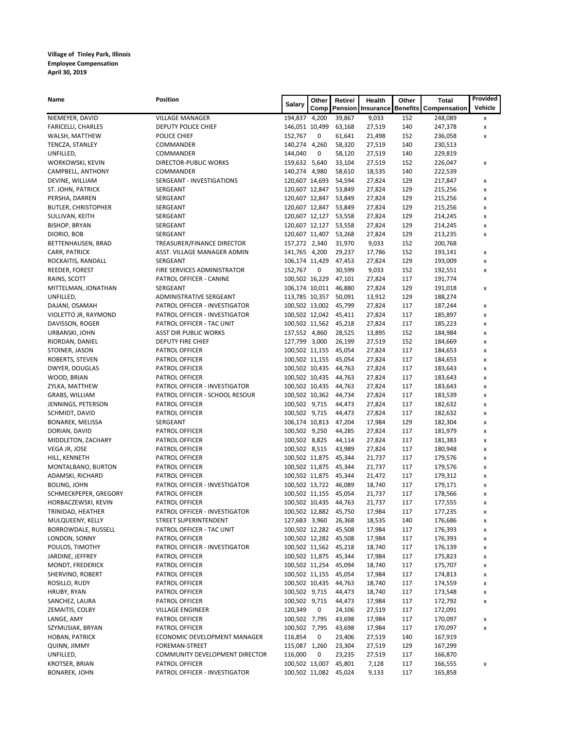# **Village of Tinley Park, Illinois Employee Compensation April 30, 2019**

| Name                       | <b>Position</b>                | <b>Salary</b>  | Other | Retire/               | <b>Health</b>            | Other | <b>Total</b>                 | Provided       |
|----------------------------|--------------------------------|----------------|-------|-----------------------|--------------------------|-------|------------------------------|----------------|
|                            |                                |                | Comp  |                       | <b>Pension Insurance</b> |       | <b>Benefits Compensation</b> | <b>Vehicle</b> |
| NIEMEYER, DAVID            | <b>VILLAGE MANAGER</b>         | 194,837 4,200  |       | 39,867                | 9,033                    | 152   | 248,089                      | X              |
| <b>FARICELLI, CHARLES</b>  | DEPUTY POLICE CHIEF            | 146,051 10,499 |       | 63,168                | 27,519                   | 140   | 247,378                      | X              |
| WALSH, MATTHEW             | POLICE CHIEF                   | 152,767        | 0     | 61,641                | 21,498                   | 152   | 236,058                      | X              |
| TENCZA, STANLEY            | <b>COMMANDER</b>               | 140,274 4,260  |       | 58,320                | 27,519                   | 140   | 230,513                      |                |
| UNFILLED,                  | COMMANDER                      | 144,040        | 0     | 58,120                | 27,519                   | 140   | 229,819                      |                |
| <b>WORKOWSKI, KEVIN</b>    | <b>DIRECTOR-PUBLIC WORKS</b>   | 159,632 5,640  |       | 33,104                | 27,519                   | 152   | 226,047                      | X              |
| CAMPBELL, ANTHONY          | <b>COMMANDER</b>               | 140,274 4,980  |       | 58,610                | 18,535                   | 140   | 222,539                      |                |
| DEVINE, WILLIAM            | SERGEANT - INVESTIGATIONS      | 120,607 14,693 |       | 54,594                | 27,824                   | 129   | 217,847                      | x              |
| ST. JOHN, PATRICK          | SERGEANT                       | 120,607 12,847 |       | 53,849                | 27,824                   | 129   | 215,256                      | X              |
| PERSHA, DARREN             | SERGEANT                       | 120,607 12,847 |       | 53,849                | 27,824                   | 129   | 215,256                      | X              |
| <b>BUTLER, CHRISTOPHER</b> | SERGEANT                       | 120,607 12,847 |       | 53,849                | 27,824                   | 129   | 215,256                      | X              |
| SULLIVAN, KEITH            | SERGEANT                       | 120,607 12,127 |       | 53,558                | 27,824                   | 129   | 214,245                      | X              |
| <b>BISHOP, BRYAN</b>       | SERGEANT                       | 120,607 12,127 |       | 53,558                | 27,824                   | 129   | 214,245                      | X              |
| DIORIO, BOB                | SERGEANT                       | 120,607 11,407 |       | 53,268                | 27,824                   | 129   | 213,235                      | X              |
| BETTENHAUSEN, BRAD         | TREASURER/FINANCE DIRECTOR     | 157,272 2,340  |       | 31,970                | 9,033                    | 152   | 200,768                      |                |
| CARR, PATRICK              | ASST. VILLAGE MANAGER ADMIN    | 141,765 4,200  |       | 29,237                | 17,786                   | 152   | 193,141                      | x              |
| ROCKAITIS, RANDALL         | SERGEANT                       | 106,174 11,429 |       | 47,453                | 27,824                   | 129   | 193,009                      | X              |
| REEDER, FOREST             | FIRE SERVICES ADMINISTRATOR    | 152,767        | 0     | 30,599                | 9,033                    | 152   | 192,551                      | X              |
| RAINS, SCOTT               | PATROL OFFICER - CANINE        | 100,502 16,229 |       | 47,101                | 27,824                   | 117   | 191,774                      |                |
| MITTELMAN, JONATHAN        | SERGEANT                       | 106,174 10,011 |       | 46,880                | 27,824                   | 129   | 191,018                      | X              |
| UNFILLED,                  | ADMINISTRATIVE SERGEANT        | 113,785 10,357 |       | 50,091                | 13,912                   | 129   | 188,274                      |                |
| DAJANI, OSAMAH             | PATROL OFFICER - INVESTIGATOR  | 100,502 13,002 |       | 45,799                | 27,824                   | 117   | 187,244                      | X              |
| VIOLETTO JR, RAYMOND       | PATROL OFFICER - INVESTIGATOR  | 100,502 12,042 |       | 45,411                | 27,824                   | 117   | 185,897                      | X              |
| DAVISSON, ROGER            | PATROL OFFICER - TAC UNIT      | 100,502 11,562 |       | 45,218                | 27,824                   | 117   | 185,223                      | X              |
| URBANSKI, JOHN             | <b>ASST DIR PUBLIC WORKS</b>   | 137,552 4,860  |       | 28,525                | 13,895                   | 152   | 184,984                      | х              |
| RIORDAN, DANIEL            | DEPUTY FIRE CHIEF              | 127,799 3,000  |       | 26,199                | 27,519                   | 152   | 184,669                      | X              |
| STOINER, JASON             | PATROL OFFICER                 | 100,502 11,155 |       | 45,054                | 27,824                   | 117   | 184,653                      | X              |
| ROBERTS, STEVEN            | PATROL OFFICER                 | 100,502 11,155 |       | 45,054                | 27,824                   | 117   | 184,653                      | X              |
| DWYER, DOUGLAS             | PATROL OFFICER                 | 100,502 10,435 |       | 44,763                | 27,824                   | 117   | 183,643                      | X              |
| WOOD, BRIAN                | PATROL OFFICER                 | 100,502 10,435 |       | 44,763                | 27,824                   | 117   | 183,643                      | x              |
| ZYLKA, MATTHEW             | PATROL OFFICER - INVESTIGATOR  | 100,502 10,435 |       | 44,763                | 27,824                   | 117   | 183,643                      | X              |
| GRABS, WILLIAM             | PATROL OFFICER - SCHOOL RESOUR | 100,502 10,362 |       | 44,734                | 27,824                   | 117   | 183,539                      | X              |
| JENNINGS, PETERSON         | PATROL OFFICER                 | 100,502 9,715  |       | 44,473                | 27,824                   | 117   | 182,632                      | X              |
| SCHMIDT, DAVID             | PATROL OFFICER                 | 100,502 9,715  |       | 44,473                | 27,824                   | 117   | 182,632                      | X              |
| <b>BONAREK, MELISSA</b>    | SERGEANT                       | 106,174 10,813 |       | 47,204                | 17,984                   | 129   | 182,304                      | X              |
| DORIAN, DAVID              | PATROL OFFICER                 | 100,502 9,250  |       | 44,285                | 27,824                   | 117   | 181,979                      | x              |
| MIDDLETON, ZACHARY         | PATROL OFFICER                 | 100,502 8,825  |       | 44,114                | 27,824                   | 117   | 181,383                      | X              |
| VEGA JR, JOSE              | PATROL OFFICER                 | 100,502 8,515  |       | 43,989                | 27,824                   | 117   | 180,948                      | X              |
| HILL, KENNETH              | PATROL OFFICER                 | 100,502 11,875 |       | 45,344                | 21,737                   | 117   | 179,576                      | X              |
| MONTALBANO, BURTON         | PATROL OFFICER                 | 100,502 11,875 |       | 45,344                | 21,737                   | 117   | 179,576                      | X              |
| ADAMSKI, RICHARD           | PATROL OFFICER                 | 100,502 11,875 |       | 45,344                | 21,472                   | 117   | 179,312                      | X              |
| <b>BOLING, JOHN</b>        | PATROL OFFICER - INVESTIGATOR  | 100,502 13,722 |       | 46,089                | 18,740                   | 117   | 179,171                      | X              |
| SCHMECKPEPER, GREGORY      | PATROL OFFICER                 | 100,502 11,155 |       | 45,054                | 21,737                   | 117   | 178,566                      | X              |
| HORBACZEWSKI, KEVIN        | PATROL OFFICER                 | 100,502 10,435 |       | 44,763                | 21,737                   | 117   | 177,555                      | X              |
| TRINIDAD, HEATHER          | PATROL OFFICER - INVESTIGATOR  | 100,502 12,882 |       | 45,750                | 17,984                   | 117   | 177,235                      | X              |
| MULQUEENY, KELLY           | STREET SUPERINTENDENT          | 127,683 3,960  |       | 26,368                | 18,535                   | 140   | 176,686                      | x              |
| <b>BORROWDALE, RUSSELL</b> | PATROL OFFICER - TAC UNIT      | 100,502 12,282 |       | 45,508                | 17,984                   | 117   | 176,393                      | X              |
| LONDON, SONNY              | PATROL OFFICER                 | 100,502 12,282 |       | 45,508                | 17,984                   | 117   | 176,393                      | X              |
| POULOS, TIMOTHY            | PATROL OFFICER - INVESTIGATOR  | 100,502 11,562 |       | 45,218                | 18,740                   | 117   | 176,139                      | X              |
| JARDINE, JEFFREY           | PATROL OFFICER                 | 100,502 11,875 |       | 45,344                | 17,984                   | 117   | 175,823                      | X              |
| MONDT, FREDERICK           | PATROL OFFICER                 | 100,502 11,254 |       | 45,094                | 18,740                   | 117   | 175,707                      | x              |
| SHERVINO, ROBERT           | PATROL OFFICER                 | 100,502 11,155 |       | 45,054                | 17,984                   | 117   | 174,813                      | X              |
| ROSILLO, RUDY              | PATROL OFFICER                 | 100,502 10,435 |       | 44,763                | 18,740                   | 117   | 174,559                      | X              |
| HRUBY, RYAN                | PATROL OFFICER                 | 100,502 9,715  |       | 44,473                | 18,740                   | 117   | 173,548                      | X              |
| SANCHEZ, LAURA             | PATROL OFFICER                 | 100,502 9,715  |       | 44,473                | 17,984                   | 117   | 172,792                      | X              |
| ZEMAITIS, COLBY            | <b>VILLAGE ENGINEER</b>        | 120,349        | 0     | 24,106                | 27,519                   | 117   | 172,091                      |                |
| LANGE, AMY                 | PATROL OFFICER                 | 100,502 7,795  |       | 43,698                | 17,984                   | 117   | 170,097                      | x              |
| SZYMUSIAK, BRYAN           | PATROL OFFICER                 | 100,502 7,795  |       | 43,698                | 17,984                   | 117   | 170,097                      | X              |
| HOBAN, PATRICK             | ECONOMIC DEVELOPMENT MANAGER   | 116,854        | 0     | 23,406                | 27,519                   | 140   | 167,919                      |                |
| QUINN, JIMMY               | FOREMAN-STREET                 | 115,087        | 1,260 | 23,304                | 27,519                   | 129   | 167,299                      |                |
| UNFILLED,                  | COMMUNITY DEVELOPMENT DIRECTOR | 116,000        | 0     | 23,235                | 27,519                   | 117   | 166,870                      |                |
| <b>KROTSER, BRIAN</b>      | PATROL OFFICER                 |                |       | 100,502 13,007 45,801 | 7,128                    | 117   | 166,555                      | X              |
| <b>BONAREK, JOHN</b>       | PATROL OFFICER - INVESTIGATOR  |                |       | 100,502 11,082 45,024 | 9,133                    | 117   | 165,858                      |                |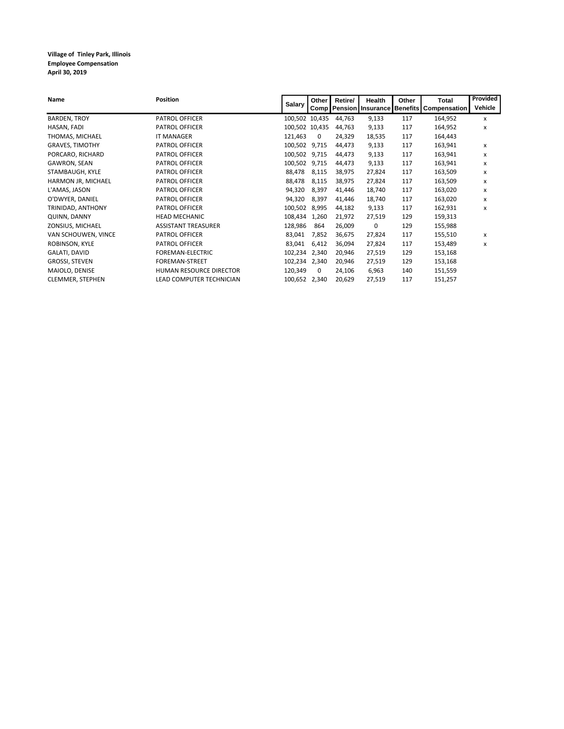**Village of Tinley Park, Illinois Employee Compensation April 30, 2019**

| <b>Name</b>             | <b>Position</b>            |                | Other        | Retire/ | <b>Health</b> | Other | Total                                                | Provided |
|-------------------------|----------------------------|----------------|--------------|---------|---------------|-------|------------------------------------------------------|----------|
|                         |                            | <b>Salary</b>  |              |         |               |       | Comp   Pension   Insurance   Benefits   Compensation | Vehicle  |
| <b>BARDEN, TROY</b>     | PATROL OFFICER             | 100,502 10,435 |              | 44,763  | 9,133         | 117   | 164,952                                              | x        |
| HASAN, FADI             | PATROL OFFICER             | 100,502 10,435 |              | 44,763  | 9,133         | 117   | 164,952                                              | x        |
| THOMAS, MICHAEL         | <b>IT MANAGER</b>          | 121,463        | $\mathbf{0}$ | 24,329  | 18,535        | 117   | 164,443                                              |          |
| <b>GRAVES, TIMOTHY</b>  | PATROL OFFICER             | 100,502        | 9,715        | 44,473  | 9,133         | 117   | 163,941                                              | x        |
| PORCARO, RICHARD        | PATROL OFFICER             | 100,502 9,715  |              | 44,473  | 9,133         | 117   | 163,941                                              | x        |
| GAWRON, SEAN            | PATROL OFFICER             | 100,502 9,715  |              | 44,473  | 9,133         | 117   | 163,941                                              | x        |
| STAMBAUGH, KYLE         | PATROL OFFICER             | 88,478         | 8,115        | 38,975  | 27,824        | 117   | 163,509                                              | x        |
| HARMON JR, MICHAEL      | PATROL OFFICER             | 88,478         | 8,115        | 38,975  | 27,824        | 117   | 163,509                                              | x        |
| L'AMAS, JASON           | PATROL OFFICER             | 94,320         | 8,397        | 41,446  | 18,740        | 117   | 163,020                                              | x        |
| O'DWYER, DANIEL         | PATROL OFFICER             | 94,320         | 8,397        | 41,446  | 18,740        | 117   | 163,020                                              | X        |
| TRINIDAD, ANTHONY       | PATROL OFFICER             | 100,502        | 8,995        | 44,182  | 9,133         | 117   | 162,931                                              | x        |
| QUINN, DANNY            | <b>HEAD MECHANIC</b>       | 108,434        | 1,260        | 21,972  | 27,519        | 129   | 159,313                                              |          |
| ZONSIUS, MICHAEL        | <b>ASSISTANT TREASURER</b> | 128,986        | 864          | 26,009  | 0             | 129   | 155,988                                              |          |
| VAN SCHOUWEN, VINCE     | PATROL OFFICER             | 83,041         | 7,852        | 36,675  | 27,824        | 117   | 155,510                                              | x        |
| ROBINSON, KYLE          | PATROL OFFICER             | 83,041         | 6,412        | 36,094  | 27,824        | 117   | 153,489                                              | x        |
| GALATI, DAVID           | FOREMAN-ELECTRIC           | 102,234        | 2,340        | 20,946  | 27,519        | 129   | 153,168                                              |          |
| <b>GROSSI, STEVEN</b>   | FOREMAN-STREET             | 102,234        | 2,340        | 20,946  | 27,519        | 129   | 153,168                                              |          |
| MAIOLO, DENISE          | HUMAN RESOURCE DIRECTOR    | 120,349        | $\mathbf 0$  | 24,106  | 6,963         | 140   | 151,559                                              |          |
| <b>CLEMMER, STEPHEN</b> | LEAD COMPUTER TECHNICIAN   | 100,652 2,340  |              | 20,629  | 27,519        | 117   | 151,257                                              |          |